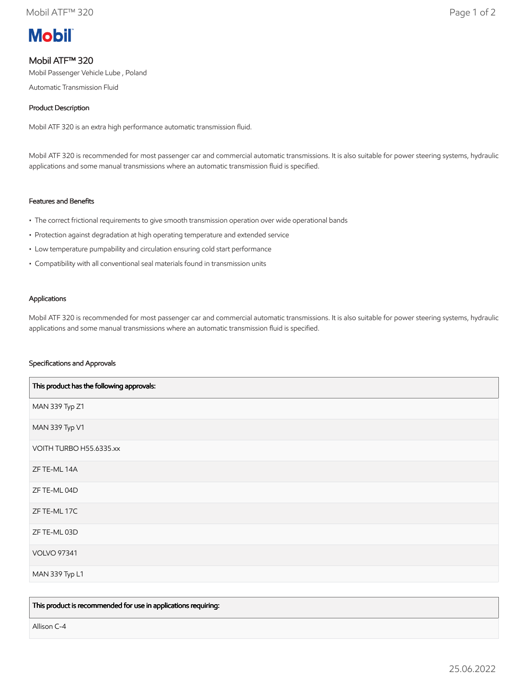

# Mobil ATF™ 320

Mobil Passenger Vehicle Lube , Poland

Automatic Transmission Fluid

## Product Description

Mobil ATF 320 is an extra high performance automatic transmission fluid.

Mobil ATF 320 is recommended for most passenger car and commercial automatic transmissions. It is also suitable for power steering systems, hydraulic applications and some manual transmissions where an automatic transmission fluid is specified.

## Features and Benefits

- The correct frictional requirements to give smooth transmission operation over wide operational bands
- Protection against degradation at high operating temperature and extended service
- Low temperature pumpability and circulation ensuring cold start performance
- Compatibility with all conventional seal materials found in transmission units

#### Applications

Mobil ATF 320 is recommended for most passenger car and commercial automatic transmissions. It is also suitable for power steering systems, hydraulic applications and some manual transmissions where an automatic transmission fluid is specified.

## Specifications and Approvals

| This product has the following approvals: |
|-------------------------------------------|
| MAN 339 Typ Z1                            |
| MAN 339 Typ V1                            |
| VOITH TURBO H55.6335.xx                   |
| ZF TE-ML 14A                              |
| ZF TE-ML 04D                              |
| ZF TE-ML 17C                              |
| ZF TE-ML 03D                              |
| <b>VOLVO 97341</b>                        |
| MAN 339 Typ L1                            |

This product is recommended for use in applications requiring:

Allison C-4